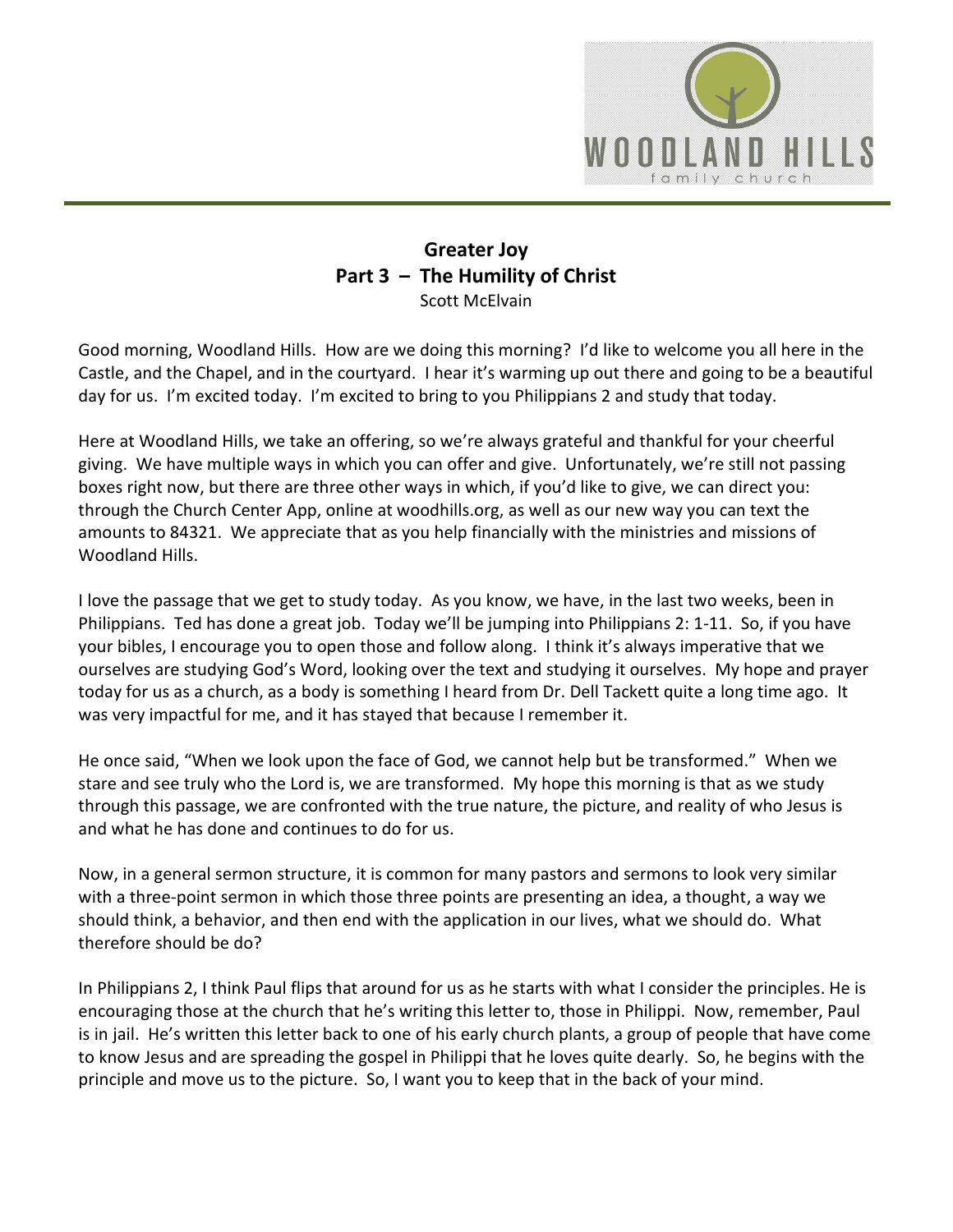

## **Greater Joy Part 3 – The Humility of Christ** Scott McElvain

Good morning, Woodland Hills. How are we doing this morning? I'd like to welcome you all here in the Castle, and the Chapel, and in the courtyard. I hear it's warming up out there and going to be a beautiful day for us. I'm excited today. I'm excited to bring to you Philippians 2 and study that today.

Here at Woodland Hills, we take an offering, so we're always grateful and thankful for your cheerful giving. We have multiple ways in which you can offer and give. Unfortunately, we're still not passing boxes right now, but there are three other ways in which, if you'd like to give, we can direct you: through the Church Center App, online at woodhills.org, as well as our new way you can text the amounts to 84321. We appreciate that as you help financially with the ministries and missions of Woodland Hills.

I love the passage that we get to study today. As you know, we have, in the last two weeks, been in Philippians. Ted has done a great job. Today we'll be jumping into Philippians 2: 1-11. So, if you have your bibles, I encourage you to open those and follow along. I think it's always imperative that we ourselves are studying God's Word, looking over the text and studying it ourselves. My hope and prayer today for us as a church, as a body is something I heard from Dr. Dell Tackett quite a long time ago. It was very impactful for me, and it has stayed that because I remember it.

He once said, "When we look upon the face of God, we cannot help but be transformed." When we stare and see truly who the Lord is, we are transformed. My hope this morning is that as we study through this passage, we are confronted with the true nature, the picture, and reality of who Jesus is and what he has done and continues to do for us.

Now, in a general sermon structure, it is common for many pastors and sermons to look very similar with a three-point sermon in which those three points are presenting an idea, a thought, a way we should think, a behavior, and then end with the application in our lives, what we should do. What therefore should be do?

In Philippians 2, I think Paul flips that around for us as he starts with what I consider the principles. He is encouraging those at the church that he's writing this letter to, those in Philippi. Now, remember, Paul is in jail. He's written this letter back to one of his early church plants, a group of people that have come to know Jesus and are spreading the gospel in Philippi that he loves quite dearly. So, he begins with the principle and move us to the picture. So, I want you to keep that in the back of your mind.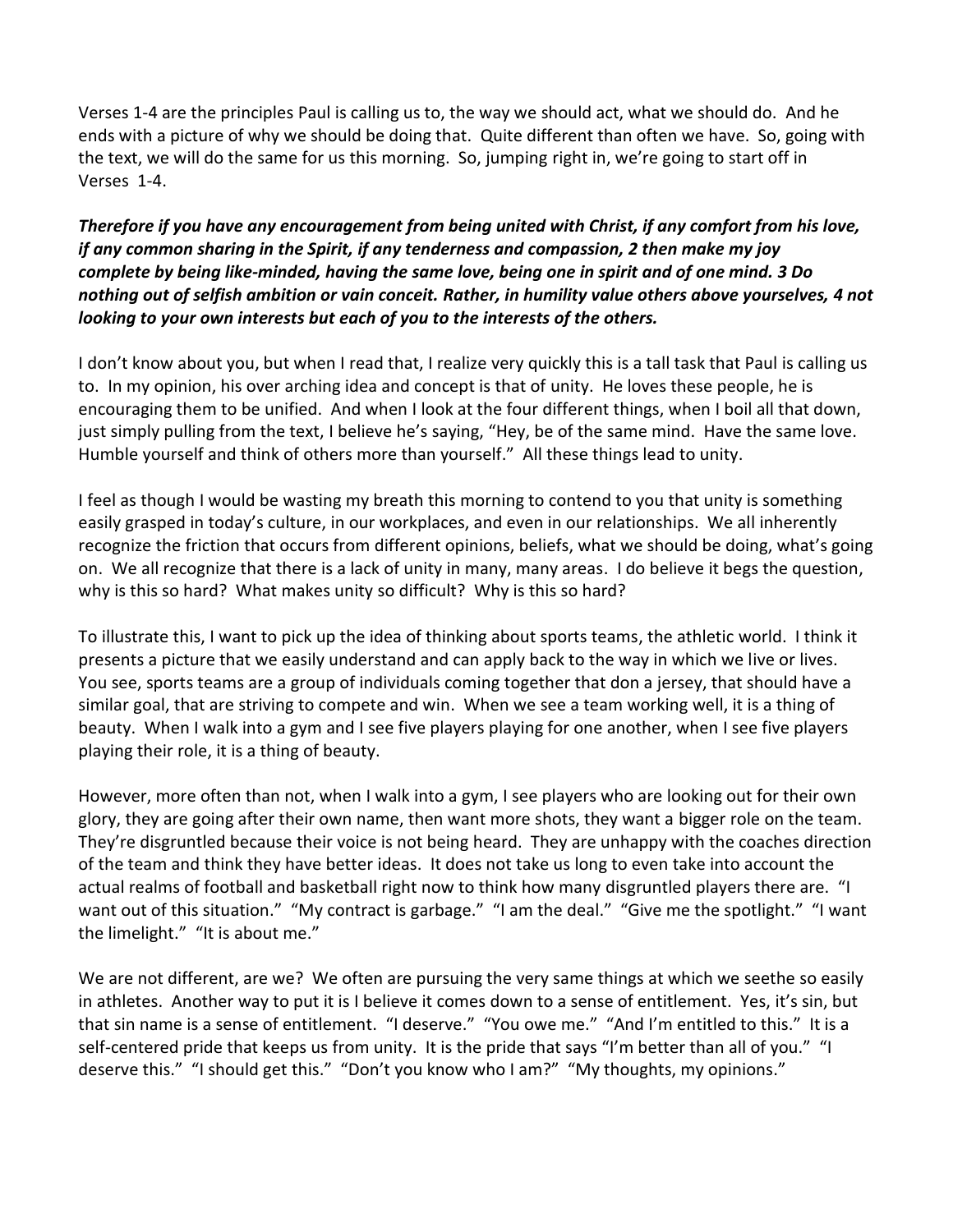Verses 1-4 are the principles Paul is calling us to, the way we should act, what we should do. And he ends with a picture of why we should be doing that. Quite different than often we have. So, going with the text, we will do the same for us this morning. So, jumping right in, we're going to start off in Verses 1-4.

## *Therefore if you have any encouragement from being united with Christ, if any comfort from his love, if any common sharing in the Spirit, if any tenderness and compassion, 2 then make my joy complete by being like-minded, having the same love, being one in spirit and of one mind. 3 Do nothing out of selfish ambition or vain conceit. Rather, in humility value others above yourselves, 4 not looking to your own interests but each of you to the interests of the others.*

I don't know about you, but when I read that, I realize very quickly this is a tall task that Paul is calling us to. In my opinion, his over arching idea and concept is that of unity. He loves these people, he is encouraging them to be unified. And when I look at the four different things, when I boil all that down, just simply pulling from the text, I believe he's saying, "Hey, be of the same mind. Have the same love. Humble yourself and think of others more than yourself." All these things lead to unity.

I feel as though I would be wasting my breath this morning to contend to you that unity is something easily grasped in today's culture, in our workplaces, and even in our relationships. We all inherently recognize the friction that occurs from different opinions, beliefs, what we should be doing, what's going on. We all recognize that there is a lack of unity in many, many areas. I do believe it begs the question, why is this so hard? What makes unity so difficult? Why is this so hard?

To illustrate this, I want to pick up the idea of thinking about sports teams, the athletic world. I think it presents a picture that we easily understand and can apply back to the way in which we live or lives. You see, sports teams are a group of individuals coming together that don a jersey, that should have a similar goal, that are striving to compete and win. When we see a team working well, it is a thing of beauty. When I walk into a gym and I see five players playing for one another, when I see five players playing their role, it is a thing of beauty.

However, more often than not, when I walk into a gym, I see players who are looking out for their own glory, they are going after their own name, then want more shots, they want a bigger role on the team. They're disgruntled because their voice is not being heard. They are unhappy with the coaches direction of the team and think they have better ideas. It does not take us long to even take into account the actual realms of football and basketball right now to think how many disgruntled players there are. "I want out of this situation." "My contract is garbage." "I am the deal." "Give me the spotlight." "I want the limelight." "It is about me."

We are not different, are we? We often are pursuing the very same things at which we seethe so easily in athletes. Another way to put it is I believe it comes down to a sense of entitlement. Yes, it's sin, but that sin name is a sense of entitlement. "I deserve." "You owe me." "And I'm entitled to this." It is a self-centered pride that keeps us from unity. It is the pride that says "I'm better than all of you." "I deserve this." "I should get this." "Don't you know who I am?" "My thoughts, my opinions."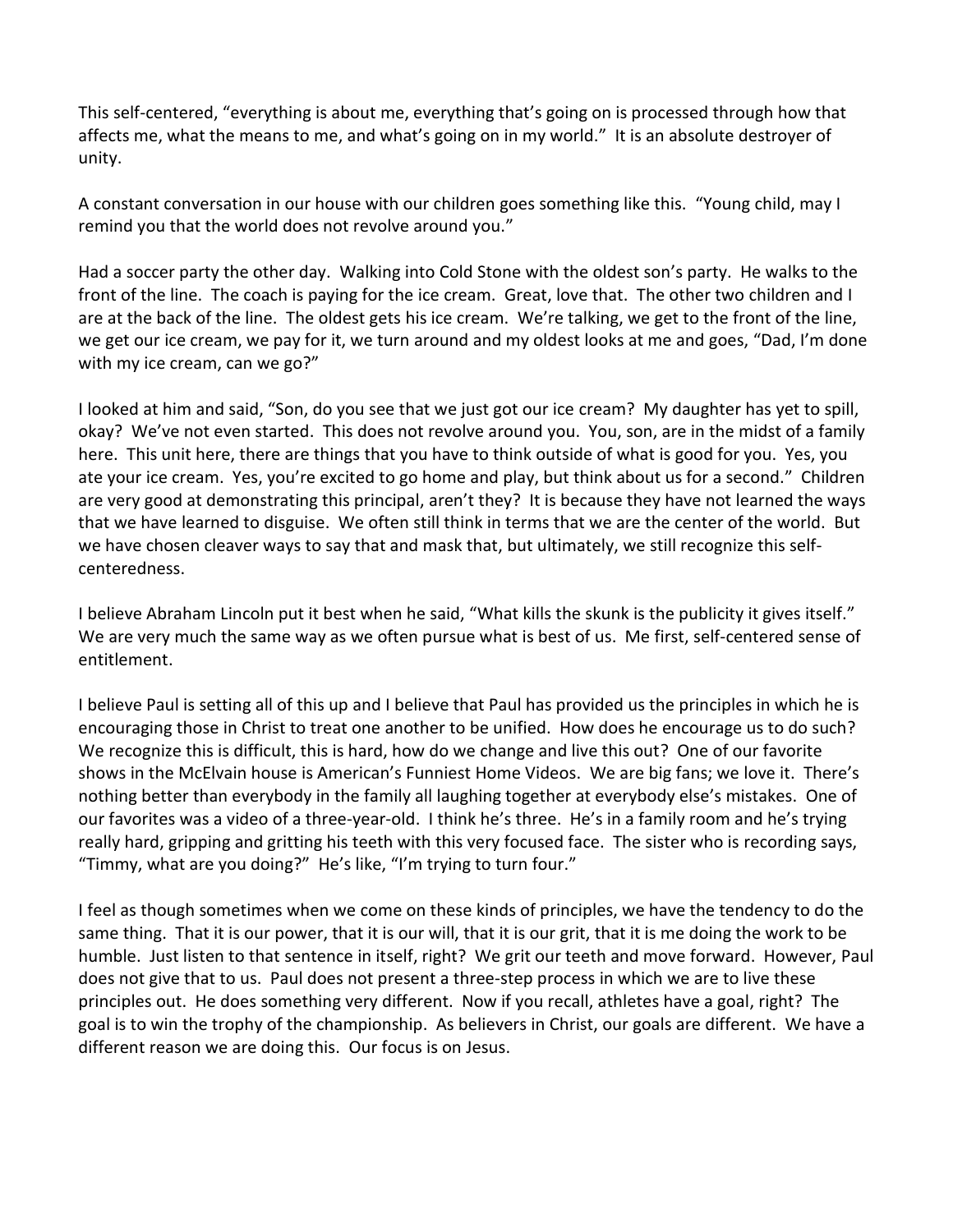This self-centered, "everything is about me, everything that's going on is processed through how that affects me, what the means to me, and what's going on in my world." It is an absolute destroyer of unity.

A constant conversation in our house with our children goes something like this. "Young child, may I remind you that the world does not revolve around you."

Had a soccer party the other day. Walking into Cold Stone with the oldest son's party. He walks to the front of the line. The coach is paying for the ice cream. Great, love that. The other two children and I are at the back of the line. The oldest gets his ice cream. We're talking, we get to the front of the line, we get our ice cream, we pay for it, we turn around and my oldest looks at me and goes, "Dad, I'm done with my ice cream, can we go?"

I looked at him and said, "Son, do you see that we just got our ice cream? My daughter has yet to spill, okay? We've not even started. This does not revolve around you. You, son, are in the midst of a family here. This unit here, there are things that you have to think outside of what is good for you. Yes, you ate your ice cream. Yes, you're excited to go home and play, but think about us for a second." Children are very good at demonstrating this principal, aren't they? It is because they have not learned the ways that we have learned to disguise. We often still think in terms that we are the center of the world. But we have chosen cleaver ways to say that and mask that, but ultimately, we still recognize this selfcenteredness.

I believe Abraham Lincoln put it best when he said, "What kills the skunk is the publicity it gives itself." We are very much the same way as we often pursue what is best of us. Me first, self-centered sense of entitlement.

I believe Paul is setting all of this up and I believe that Paul has provided us the principles in which he is encouraging those in Christ to treat one another to be unified. How does he encourage us to do such? We recognize this is difficult, this is hard, how do we change and live this out? One of our favorite shows in the McElvain house is American's Funniest Home Videos. We are big fans; we love it. There's nothing better than everybody in the family all laughing together at everybody else's mistakes. One of our favorites was a video of a three-year-old. I think he's three. He's in a family room and he's trying really hard, gripping and gritting his teeth with this very focused face. The sister who is recording says, "Timmy, what are you doing?" He's like, "I'm trying to turn four."

I feel as though sometimes when we come on these kinds of principles, we have the tendency to do the same thing. That it is our power, that it is our will, that it is our grit, that it is me doing the work to be humble. Just listen to that sentence in itself, right? We grit our teeth and move forward. However, Paul does not give that to us. Paul does not present a three-step process in which we are to live these principles out. He does something very different. Now if you recall, athletes have a goal, right? The goal is to win the trophy of the championship. As believers in Christ, our goals are different. We have a different reason we are doing this. Our focus is on Jesus.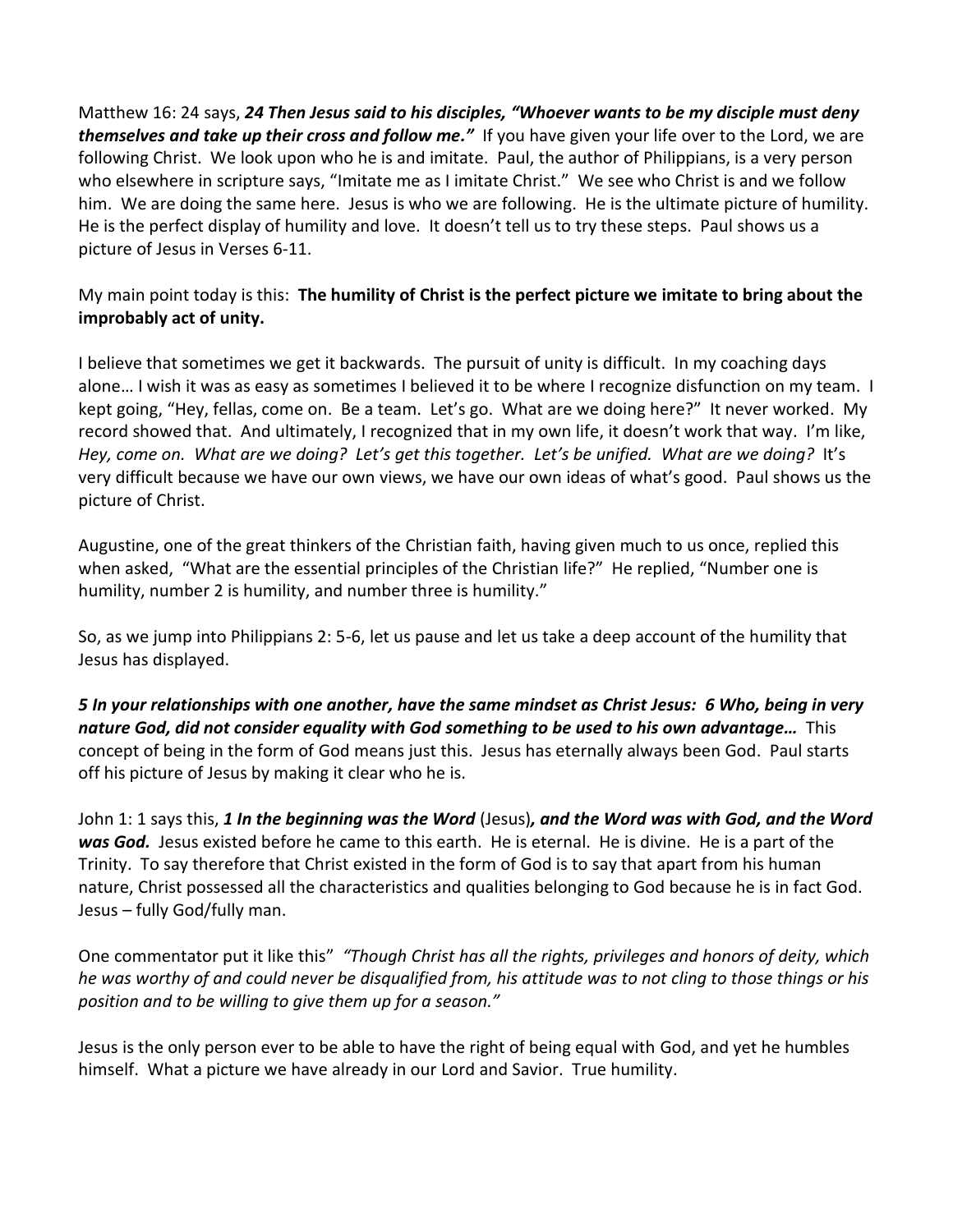Matthew 16: 24 says, *24 Then Jesus said to his disciples, "Whoever wants to be my disciple must deny themselves and take up their cross and follow me."* If you have given your life over to the Lord, we are following Christ. We look upon who he is and imitate. Paul, the author of Philippians, is a very person who elsewhere in scripture says, "Imitate me as I imitate Christ." We see who Christ is and we follow him. We are doing the same here. Jesus is who we are following. He is the ultimate picture of humility. He is the perfect display of humility and love. It doesn't tell us to try these steps. Paul shows us a picture of Jesus in Verses 6-11.

## My main point today is this: **The humility of Christ is the perfect picture we imitate to bring about the improbably act of unity.**

I believe that sometimes we get it backwards. The pursuit of unity is difficult. In my coaching days alone… I wish it was as easy as sometimes I believed it to be where I recognize disfunction on my team. I kept going, "Hey, fellas, come on. Be a team. Let's go. What are we doing here?" It never worked. My record showed that. And ultimately, I recognized that in my own life, it doesn't work that way. I'm like, *Hey, come on. What are we doing? Let's get this together. Let's be unified. What are we doing?* It's very difficult because we have our own views, we have our own ideas of what's good. Paul shows us the picture of Christ.

Augustine, one of the great thinkers of the Christian faith, having given much to us once, replied this when asked, "What are the essential principles of the Christian life?" He replied, "Number one is humility, number 2 is humility, and number three is humility."

So, as we jump into Philippians 2: 5-6, let us pause and let us take a deep account of the humility that Jesus has displayed.

*5 In your relationships with one another, have the same mindset as Christ Jesus: 6 Who, being in very nature God, did not consider equality with God something to be used to his own advantage…* This concept of being in the form of God means just this. Jesus has eternally always been God. Paul starts off his picture of Jesus by making it clear who he is.

John 1: 1 says this, *1 In the beginning was the Word* (Jesus)*, and the Word was with God, and the Word was God.* Jesus existed before he came to this earth. He is eternal. He is divine. He is a part of the Trinity. To say therefore that Christ existed in the form of God is to say that apart from his human nature, Christ possessed all the characteristics and qualities belonging to God because he is in fact God. Jesus – fully God/fully man.

One commentator put it like this" *"Though Christ has all the rights, privileges and honors of deity, which he was worthy of and could never be disqualified from, his attitude was to not cling to those things or his position and to be willing to give them up for a season."*

Jesus is the only person ever to be able to have the right of being equal with God, and yet he humbles himself. What a picture we have already in our Lord and Savior. True humility.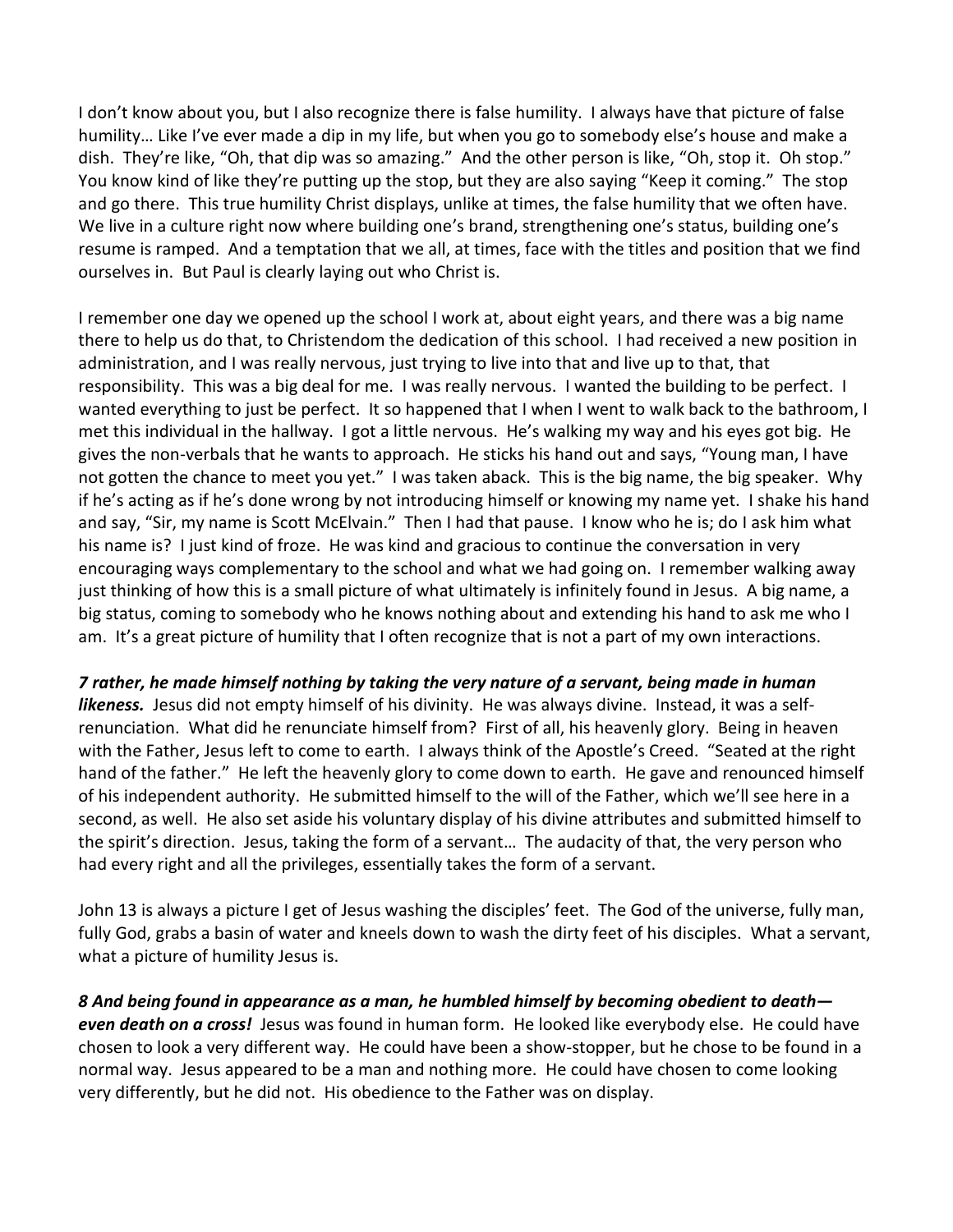I don't know about you, but I also recognize there is false humility. I always have that picture of false humility… Like I've ever made a dip in my life, but when you go to somebody else's house and make a dish. They're like, "Oh, that dip was so amazing." And the other person is like, "Oh, stop it. Oh stop." You know kind of like they're putting up the stop, but they are also saying "Keep it coming." The stop and go there. This true humility Christ displays, unlike at times, the false humility that we often have. We live in a culture right now where building one's brand, strengthening one's status, building one's resume is ramped. And a temptation that we all, at times, face with the titles and position that we find ourselves in. But Paul is clearly laying out who Christ is.

I remember one day we opened up the school I work at, about eight years, and there was a big name there to help us do that, to Christendom the dedication of this school. I had received a new position in administration, and I was really nervous, just trying to live into that and live up to that, that responsibility. This was a big deal for me. I was really nervous. I wanted the building to be perfect. I wanted everything to just be perfect. It so happened that I when I went to walk back to the bathroom, I met this individual in the hallway. I got a little nervous. He's walking my way and his eyes got big. He gives the non-verbals that he wants to approach. He sticks his hand out and says, "Young man, I have not gotten the chance to meet you yet." I was taken aback. This is the big name, the big speaker. Why if he's acting as if he's done wrong by not introducing himself or knowing my name yet. I shake his hand and say, "Sir, my name is Scott McElvain." Then I had that pause. I know who he is; do I ask him what his name is? I just kind of froze. He was kind and gracious to continue the conversation in very encouraging ways complementary to the school and what we had going on. I remember walking away just thinking of how this is a small picture of what ultimately is infinitely found in Jesus. A big name, a big status, coming to somebody who he knows nothing about and extending his hand to ask me who I am. It's a great picture of humility that I often recognize that is not a part of my own interactions.

## *7 rather, he made himself nothing by taking the very nature of a servant, being made in human*

*likeness.* Jesus did not empty himself of his divinity. He was always divine. Instead, it was a selfrenunciation. What did he renunciate himself from? First of all, his heavenly glory. Being in heaven with the Father, Jesus left to come to earth. I always think of the Apostle's Creed. "Seated at the right hand of the father." He left the heavenly glory to come down to earth. He gave and renounced himself of his independent authority. He submitted himself to the will of the Father, which we'll see here in a second, as well. He also set aside his voluntary display of his divine attributes and submitted himself to the spirit's direction. Jesus, taking the form of a servant… The audacity of that, the very person who had every right and all the privileges, essentially takes the form of a servant.

John 13 is always a picture I get of Jesus washing the disciples' feet. The God of the universe, fully man, fully God, grabs a basin of water and kneels down to wash the dirty feet of his disciples. What a servant, what a picture of humility Jesus is.

*8 And being found in appearance as a man, he humbled himself by becoming obedient to death even death on a cross!* Jesus was found in human form. He looked like everybody else. He could have chosen to look a very different way. He could have been a show-stopper, but he chose to be found in a normal way. Jesus appeared to be a man and nothing more. He could have chosen to come looking very differently, but he did not. His obedience to the Father was on display.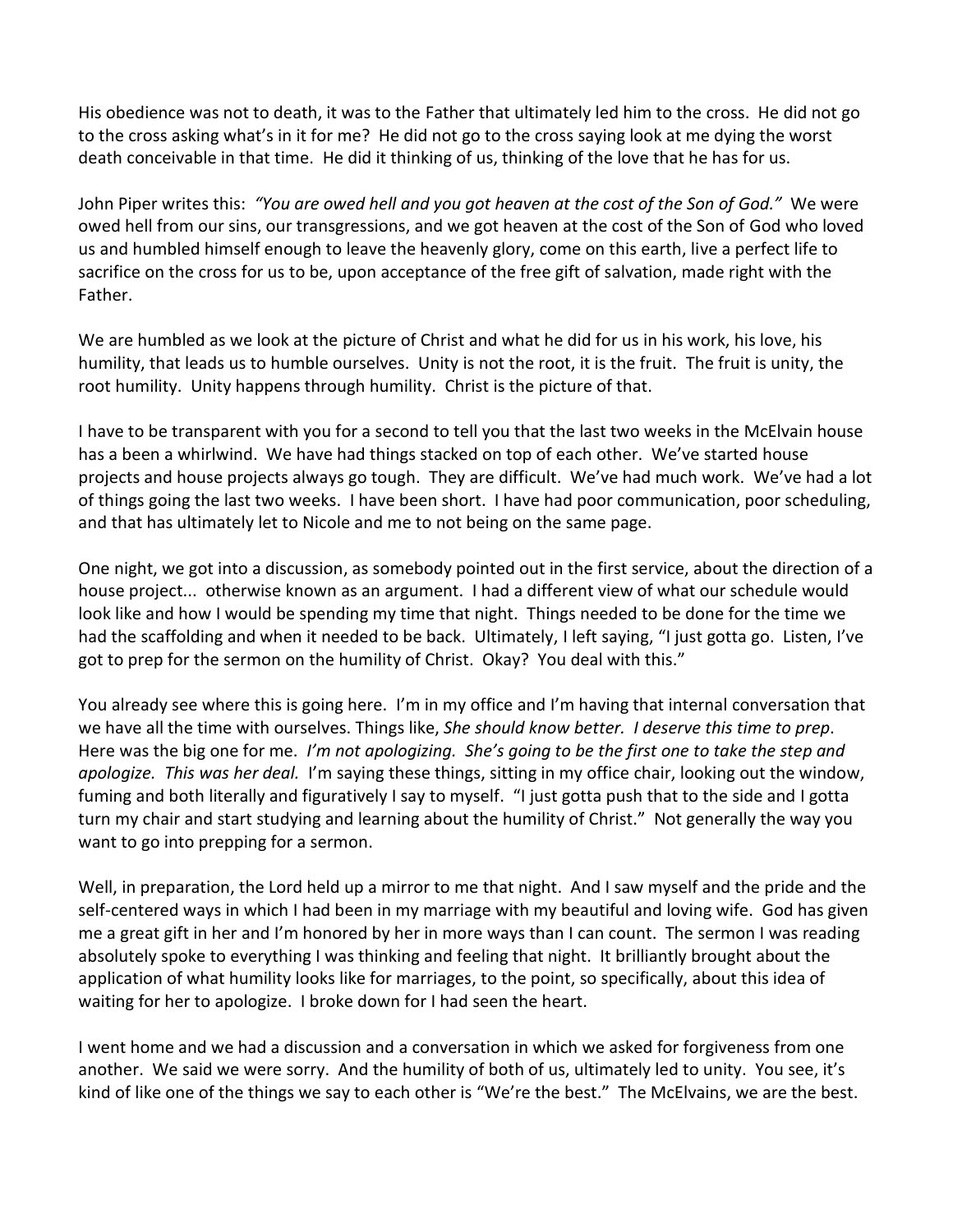His obedience was not to death, it was to the Father that ultimately led him to the cross. He did not go to the cross asking what's in it for me? He did not go to the cross saying look at me dying the worst death conceivable in that time. He did it thinking of us, thinking of the love that he has for us.

John Piper writes this: *"You are owed hell and you got heaven at the cost of the Son of God."* We were owed hell from our sins, our transgressions, and we got heaven at the cost of the Son of God who loved us and humbled himself enough to leave the heavenly glory, come on this earth, live a perfect life to sacrifice on the cross for us to be, upon acceptance of the free gift of salvation, made right with the Father.

We are humbled as we look at the picture of Christ and what he did for us in his work, his love, his humility, that leads us to humble ourselves. Unity is not the root, it is the fruit. The fruit is unity, the root humility. Unity happens through humility. Christ is the picture of that.

I have to be transparent with you for a second to tell you that the last two weeks in the McElvain house has a been a whirlwind. We have had things stacked on top of each other. We've started house projects and house projects always go tough. They are difficult. We've had much work. We've had a lot of things going the last two weeks. I have been short. I have had poor communication, poor scheduling, and that has ultimately let to Nicole and me to not being on the same page.

One night, we got into a discussion, as somebody pointed out in the first service, about the direction of a house project... otherwise known as an argument. I had a different view of what our schedule would look like and how I would be spending my time that night. Things needed to be done for the time we had the scaffolding and when it needed to be back. Ultimately, I left saying, "I just gotta go. Listen, I've got to prep for the sermon on the humility of Christ. Okay? You deal with this."

You already see where this is going here. I'm in my office and I'm having that internal conversation that we have all the time with ourselves. Things like, *She should know better. I deserve this time to prep*. Here was the big one for me. *I'm not apologizing. She's going to be the first one to take the step and apologize. This was her deal.* I'm saying these things, sitting in my office chair, looking out the window, fuming and both literally and figuratively I say to myself. "I just gotta push that to the side and I gotta turn my chair and start studying and learning about the humility of Christ." Not generally the way you want to go into prepping for a sermon.

Well, in preparation, the Lord held up a mirror to me that night. And I saw myself and the pride and the self-centered ways in which I had been in my marriage with my beautiful and loving wife. God has given me a great gift in her and I'm honored by her in more ways than I can count. The sermon I was reading absolutely spoke to everything I was thinking and feeling that night. It brilliantly brought about the application of what humility looks like for marriages, to the point, so specifically, about this idea of waiting for her to apologize. I broke down for I had seen the heart.

I went home and we had a discussion and a conversation in which we asked for forgiveness from one another. We said we were sorry. And the humility of both of us, ultimately led to unity. You see, it's kind of like one of the things we say to each other is "We're the best." The McElvains, we are the best.